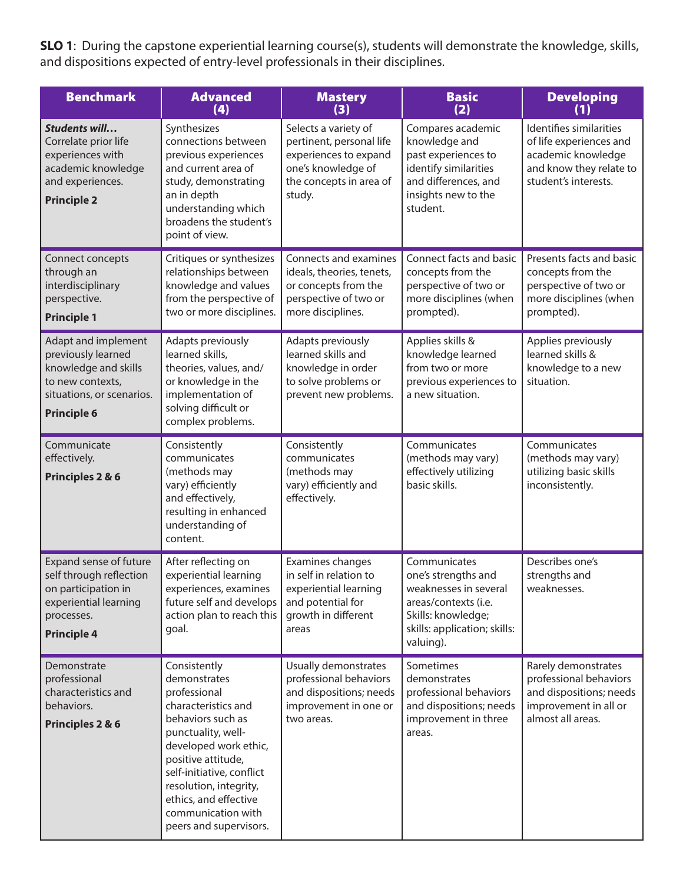**SLO 1**: During the capstone experiential learning course(s), students will demonstrate the knowledge, skills, and dispositions expected of entry-level professionals in their disciplines.

| <b>Benchmark</b>                                                                                                                         | <b>Advanced</b><br>(4)                                                                                                                                                                                                                                                                        | <b>Mastery</b><br>(3)                                                                                                                | <b>Basic</b><br>(2)                                                                                                                                     | <b>Developing</b><br>(1)                                                                                                    |
|------------------------------------------------------------------------------------------------------------------------------------------|-----------------------------------------------------------------------------------------------------------------------------------------------------------------------------------------------------------------------------------------------------------------------------------------------|--------------------------------------------------------------------------------------------------------------------------------------|---------------------------------------------------------------------------------------------------------------------------------------------------------|-----------------------------------------------------------------------------------------------------------------------------|
| Students will<br>Correlate prior life<br>experiences with<br>academic knowledge<br>and experiences.<br><b>Principle 2</b>                | Synthesizes<br>connections between<br>previous experiences<br>and current area of<br>study, demonstrating<br>an in depth<br>understanding which<br>broadens the student's<br>point of view.                                                                                                   | Selects a variety of<br>pertinent, personal life<br>experiences to expand<br>one's knowledge of<br>the concepts in area of<br>study. | Compares academic<br>knowledge and<br>past experiences to<br>identify similarities<br>and differences, and<br>insights new to the<br>student.           | Identifies similarities<br>of life experiences and<br>academic knowledge<br>and know they relate to<br>student's interests. |
| Connect concepts<br>through an<br>interdisciplinary<br>perspective.<br><b>Principle 1</b>                                                | Critiques or synthesizes<br>relationships between<br>knowledge and values<br>from the perspective of<br>two or more disciplines.                                                                                                                                                              | Connects and examines<br>ideals, theories, tenets,<br>or concepts from the<br>perspective of two or<br>more disciplines.             | Connect facts and basic<br>concepts from the<br>perspective of two or<br>more disciplines (when<br>prompted).                                           | Presents facts and basic<br>concepts from the<br>perspective of two or<br>more disciplines (when<br>prompted).              |
| Adapt and implement<br>previously learned<br>knowledge and skills<br>to new contexts,<br>situations, or scenarios.<br><b>Principle 6</b> | Adapts previously<br>learned skills,<br>theories, values, and/<br>or knowledge in the<br>implementation of<br>solving difficult or<br>complex problems.                                                                                                                                       | Adapts previously<br>learned skills and<br>knowledge in order<br>to solve problems or<br>prevent new problems.                       | Applies skills &<br>knowledge learned<br>from two or more<br>previous experiences to<br>a new situation.                                                | Applies previously<br>learned skills &<br>knowledge to a new<br>situation.                                                  |
| Communicate<br>effectively.<br>Principles 2 & 6                                                                                          | Consistently<br>communicates<br>(methods may<br>vary) efficiently<br>and effectively,<br>resulting in enhanced<br>understanding of<br>content.                                                                                                                                                | Consistently<br>communicates<br>(methods may<br>vary) efficiently and<br>effectively.                                                | Communicates<br>(methods may vary)<br>effectively utilizing<br>basic skills.                                                                            | Communicates<br>(methods may vary)<br>utilizing basic skills<br>inconsistently.                                             |
| Expand sense of future<br>self through reflection<br>on participation in<br>experiential learning<br>processes.<br><b>Principle 4</b>    | After reflecting on<br>experiential learning<br>experiences, examines<br>future self and develops<br>action plan to reach this<br>goal.                                                                                                                                                       | Examines changes<br>in self in relation to<br>experiential learning<br>and potential for<br>growth in different<br>areas             | Communicates<br>one's strengths and<br>weaknesses in several<br>areas/contexts (i.e.<br>Skills: knowledge;<br>skills: application; skills:<br>valuing). | Describes one's<br>strengths and<br>weaknesses.                                                                             |
| Demonstrate<br>professional<br>characteristics and<br>behaviors.<br>Principles 2 & 6                                                     | Consistently<br>demonstrates<br>professional<br>characteristics and<br>behaviors such as<br>punctuality, well-<br>developed work ethic,<br>positive attitude,<br>self-initiative, conflict<br>resolution, integrity,<br>ethics, and effective<br>communication with<br>peers and supervisors. | Usually demonstrates<br>professional behaviors<br>and dispositions; needs<br>improvement in one or<br>two areas.                     | Sometimes<br>demonstrates<br>professional behaviors<br>and dispositions; needs<br>improvement in three<br>areas.                                        | Rarely demonstrates<br>professional behaviors<br>and dispositions; needs<br>improvement in all or<br>almost all areas.      |